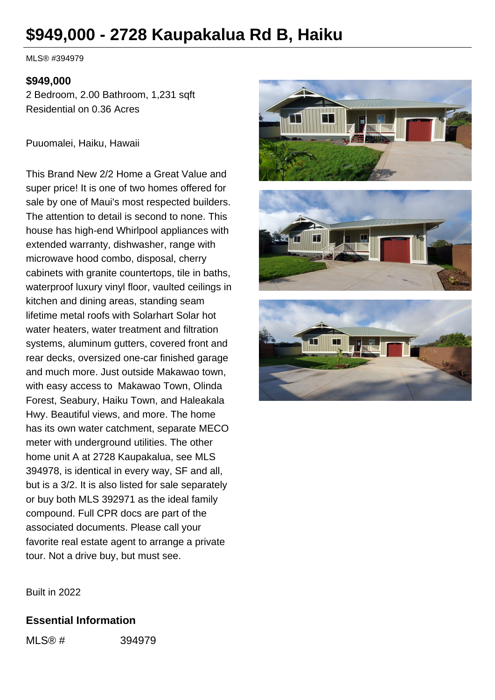# **\$949,000 - 2728 Kaupakalua Rd B, Haiku**

MLS® #394979

#### **\$949,000**

2 Bedroom, 2.00 Bathroom, 1,231 sqft Residential on 0.36 Acres

Puuomalei, Haiku, Hawaii

This Brand New 2/2 Home a Great Value and super price! It is one of two homes offered for sale by one of Maui's most respected builders. The attention to detail is second to none. This house has high-end Whirlpool appliances with extended warranty, dishwasher, range with microwave hood combo, disposal, cherry cabinets with granite countertops, tile in baths, waterproof luxury vinyl floor, vaulted ceilings in kitchen and dining areas, standing seam lifetime metal roofs with Solarhart Solar hot water heaters, water treatment and filtration systems, aluminum gutters, covered front and rear decks, oversized one-car finished garage and much more. Just outside Makawao town, with easy access to Makawao Town, Olinda Forest, Seabury, Haiku Town, and Haleakala Hwy. Beautiful views, and more. The home has its own water catchment, separate MECO meter with underground utilities. The other home unit A at 2728 Kaupakalua, see MLS 394978, is identical in every way, SF and all, but is a 3/2. It is also listed for sale separately or buy both MLS 392971 as the ideal family compound. Full CPR docs are part of the associated documents. Please call your favorite real estate agent to arrange a private tour. Not a drive buy, but must see.







Built in 2022

#### **Essential Information**

MLS® # 394979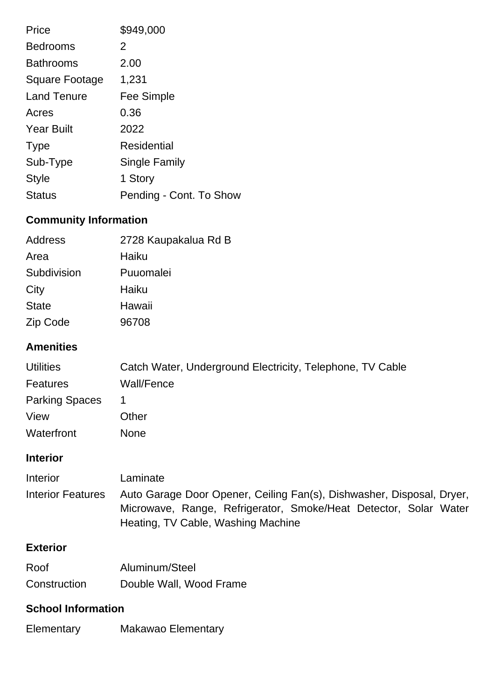| Price              | \$949,000               |
|--------------------|-------------------------|
| <b>Bedrooms</b>    | 2                       |
| <b>Bathrooms</b>   | 2.00                    |
| Square Footage     | 1,231                   |
| <b>Land Tenure</b> | Fee Simple              |
| Acres              | 0.36                    |
| <b>Year Built</b>  | 2022                    |
| <b>Type</b>        | <b>Residential</b>      |
| Sub-Type           | Single Family           |
| <b>Style</b>       | 1 Story                 |
| Status             | Pending - Cont. To Show |

# **Community Information**

| 2728 Kaupakalua Rd B |
|----------------------|
| Haiku                |
| Puuomalei            |
| Haiku                |
| Hawaii               |
| 96708                |
|                      |

### **Amenities**

| <b>Utilities</b>      | Catch Water, Underground Electricity, Telephone, TV Cable |
|-----------------------|-----------------------------------------------------------|
| <b>Features</b>       | Wall/Fence                                                |
| <b>Parking Spaces</b> | 1                                                         |
| View                  | Other                                                     |
| Waterfront            | <b>None</b>                                               |

## **Interior**

| Interior          | Laminate                                                              |  |  |  |
|-------------------|-----------------------------------------------------------------------|--|--|--|
| Interior Features | Auto Garage Door Opener, Ceiling Fan(s), Dishwasher, Disposal, Dryer, |  |  |  |
|                   | Microwave, Range, Refrigerator, Smoke/Heat Detector, Solar Water      |  |  |  |
|                   | Heating, TV Cable, Washing Machine                                    |  |  |  |

### **Exterior**

| Roof         | Aluminum/Steel          |
|--------------|-------------------------|
| Construction | Double Wall, Wood Frame |

#### **School Information**

Elementary Makawao Elementary